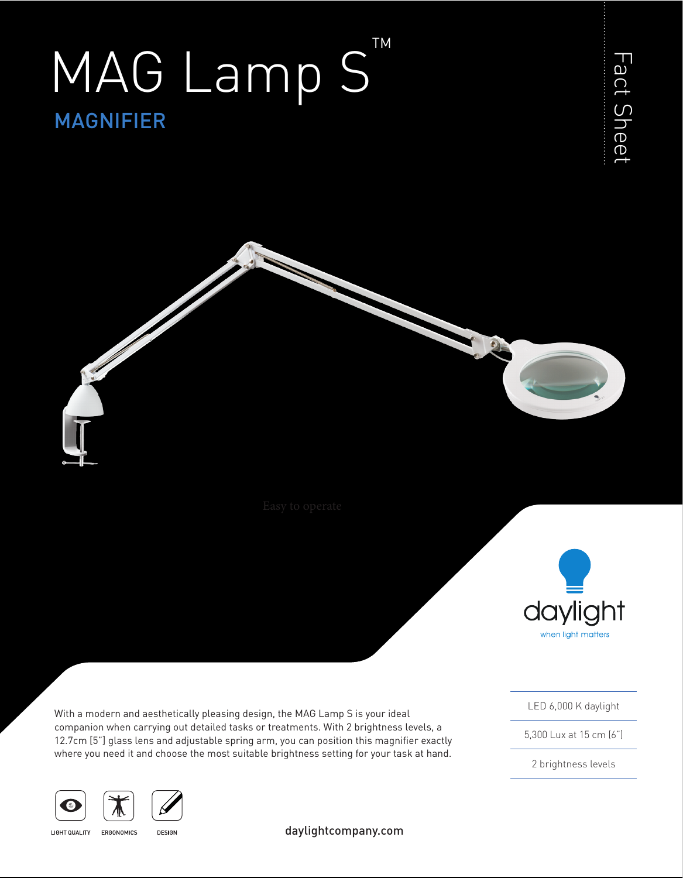# MAGNIFIER MAG Lamp S TM





With a modern and aesthetically pleasing design, the MAG Lamp S is your ideal companion when carrying out detailed tasks or treatments. With 2 brightness levels, a 12.7cm [5"] glass lens and adjustable spring arm, you can position this magnifier exactly where you need it and choose the most suitable brightness setting for your task at hand.

LED 6,000 K daylight

5,300 Lux at 15 cm (6")

2 brightness levels





**LIGHT QUALITY** ERGONOMICS

**DESIGN** 

daylightcompany.com